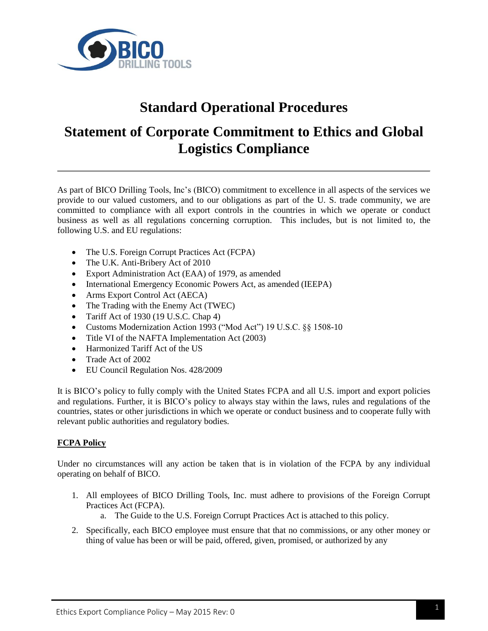

# **Standard Operational Procedures**

## **Statement of Corporate Commitment to Ethics and Global Logistics Compliance**

As part of BICO Drilling Tools, Inc's (BICO) commitment to excellence in all aspects of the services we provide to our valued customers, and to our obligations as part of the U. S. trade community, we are committed to compliance with all export controls in the countries in which we operate or conduct business as well as all regulations concerning corruption. This includes, but is not limited to, the following U.S. and EU regulations:

- The U.S. Foreign Corrupt Practices Act (FCPA)
- The U.K. Anti-Bribery Act of 2010
- Export Administration Act (EAA) of 1979, as amended
- International Emergency Economic Powers Act, as amended (IEEPA)
- Arms Export Control Act (AECA)
- The Trading with the Enemy Act (TWEC)
- Tariff Act of  $1930$  (19 U.S.C. Chap 4)
- Customs Modernization Action 1993 ("Mod Act") 19 U.S.C. §§ 1508-10
- Title VI of the NAFTA Implementation Act (2003)
- Harmonized Tariff Act of the US
- Trade Act of 2002
- EU Council Regulation Nos. 428/2009

It is BICO's policy to fully comply with the United States FCPA and all U.S. import and export policies and regulations. Further, it is BICO's policy to always stay within the laws, rules and regulations of the countries, states or other jurisdictions in which we operate or conduct business and to cooperate fully with relevant public authorities and regulatory bodies.

## **FCPA Policy**

Under no circumstances will any action be taken that is in violation of the FCPA by any individual operating on behalf of BICO.

- 1. All employees of BICO Drilling Tools, Inc. must adhere to provisions of the Foreign Corrupt Practices Act (FCPA).
	- a. The Guide to the U.S. Foreign Corrupt Practices Act is attached to this policy.
- 2. Specifically, each BICO employee must ensure that that no commissions, or any other money or thing of value has been or will be paid, offered, given, promised, or authorized by any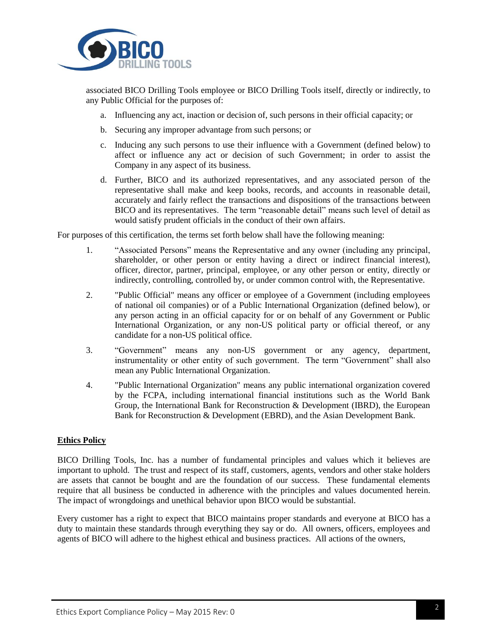

associated BICO Drilling Tools employee or BICO Drilling Tools itself, directly or indirectly, to any Public Official for the purposes of:

- a. Influencing any act, inaction or decision of, such persons in their official capacity; or
- b. Securing any improper advantage from such persons; or
- c. Inducing any such persons to use their influence with a Government (defined below) to affect or influence any act or decision of such Government; in order to assist the Company in any aspect of its business.
- d. Further, BICO and its authorized representatives, and any associated person of the representative shall make and keep books, records, and accounts in reasonable detail, accurately and fairly reflect the transactions and dispositions of the transactions between BICO and its representatives. The term "reasonable detail" means such level of detail as would satisfy prudent officials in the conduct of their own affairs.

For purposes of this certification, the terms set forth below shall have the following meaning:

- 1. "Associated Persons" means the Representative and any owner (including any principal, shareholder, or other person or entity having a direct or indirect financial interest), officer, director, partner, principal, employee, or any other person or entity, directly or indirectly, controlling, controlled by, or under common control with, the Representative.
- 2. "Public Official" means any officer or employee of a Government (including employees of national oil companies) or of a Public International Organization (defined below), or any person acting in an official capacity for or on behalf of any Government or Public International Organization, or any non-US political party or official thereof, or any candidate for a non-US political office.
- 3. "Government" means any non-US government or any agency, department, instrumentality or other entity of such government. The term "Government" shall also mean any Public International Organization.
- 4. "Public International Organization" means any public international organization covered by the FCPA, including international financial institutions such as the World Bank Group, the International Bank for Reconstruction & Development (IBRD), the European Bank for Reconstruction & Development (EBRD), and the Asian Development Bank.

#### **Ethics Policy**

BICO Drilling Tools, Inc. has a number of fundamental principles and values which it believes are important to uphold. The trust and respect of its staff, customers, agents, vendors and other stake holders are assets that cannot be bought and are the foundation of our success. These fundamental elements require that all business be conducted in adherence with the principles and values documented herein. The impact of wrongdoings and unethical behavior upon BICO would be substantial.

Every customer has a right to expect that BICO maintains proper standards and everyone at BICO has a duty to maintain these standards through everything they say or do. All owners, officers, employees and agents of BICO will adhere to the highest ethical and business practices. All actions of the owners,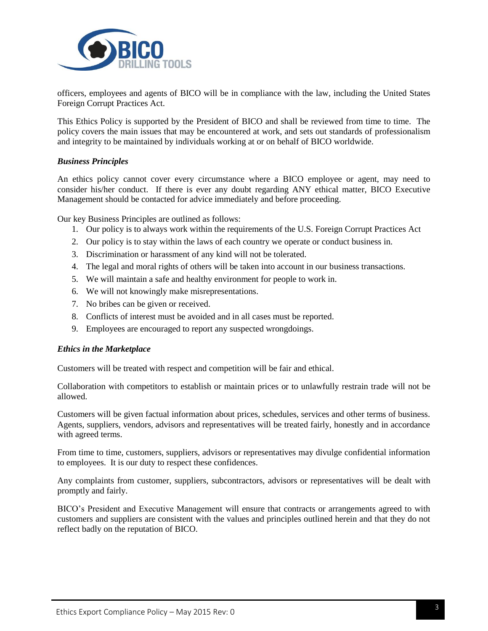

officers, employees and agents of BICO will be in compliance with the law, including the United States Foreign Corrupt Practices Act.

This Ethics Policy is supported by the President of BICO and shall be reviewed from time to time. The policy covers the main issues that may be encountered at work, and sets out standards of professionalism and integrity to be maintained by individuals working at or on behalf of BICO worldwide.

#### *Business Principles*

An ethics policy cannot cover every circumstance where a BICO employee or agent, may need to consider his/her conduct. If there is ever any doubt regarding ANY ethical matter, BICO Executive Management should be contacted for advice immediately and before proceeding.

Our key Business Principles are outlined as follows:

- 1. Our policy is to always work within the requirements of the U.S. Foreign Corrupt Practices Act
- 2. Our policy is to stay within the laws of each country we operate or conduct business in.
- 3. Discrimination or harassment of any kind will not be tolerated.
- 4. The legal and moral rights of others will be taken into account in our business transactions.
- 5. We will maintain a safe and healthy environment for people to work in.
- 6. We will not knowingly make misrepresentations.
- 7. No bribes can be given or received.
- 8. Conflicts of interest must be avoided and in all cases must be reported.
- 9. Employees are encouraged to report any suspected wrongdoings.

#### *Ethics in the Marketplace*

Customers will be treated with respect and competition will be fair and ethical.

Collaboration with competitors to establish or maintain prices or to unlawfully restrain trade will not be allowed.

Customers will be given factual information about prices, schedules, services and other terms of business. Agents, suppliers, vendors, advisors and representatives will be treated fairly, honestly and in accordance with agreed terms.

From time to time, customers, suppliers, advisors or representatives may divulge confidential information to employees. It is our duty to respect these confidences.

Any complaints from customer, suppliers, subcontractors, advisors or representatives will be dealt with promptly and fairly.

BICO's President and Executive Management will ensure that contracts or arrangements agreed to with customers and suppliers are consistent with the values and principles outlined herein and that they do not reflect badly on the reputation of BICO.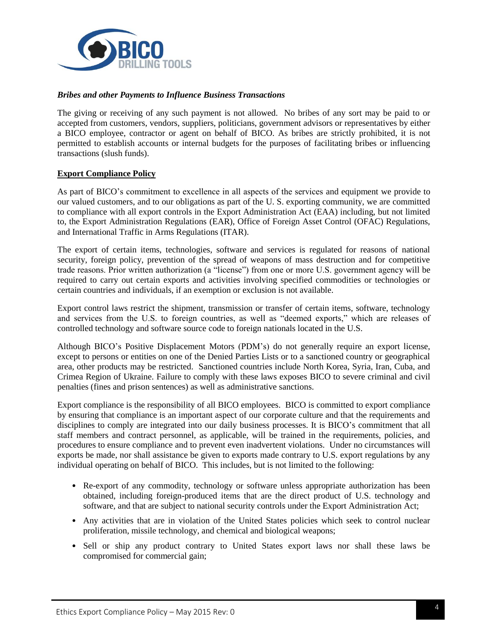

### *Bribes and other Payments to Influence Business Transactions*

The giving or receiving of any such payment is not allowed. No bribes of any sort may be paid to or accepted from customers, vendors, suppliers, politicians, government advisors or representatives by either a BICO employee, contractor or agent on behalf of BICO. As bribes are strictly prohibited, it is not permitted to establish accounts or internal budgets for the purposes of facilitating bribes or influencing transactions (slush funds).

### **Export Compliance Policy**

As part of BICO's commitment to excellence in all aspects of the services and equipment we provide to our valued customers, and to our obligations as part of the U. S. exporting community, we are committed to compliance with all export controls in the Export Administration Act (EAA) including, but not limited to, the Export Administration Regulations (EAR), Office of Foreign Asset Control (OFAC) Regulations, and International Traffic in Arms Regulations (ITAR).

The export of certain items, technologies, software and services is regulated for reasons of national security, foreign policy, prevention of the spread of weapons of mass destruction and for competitive trade reasons. Prior written authorization (a "license") from one or more U.S. government agency will be required to carry out certain exports and activities involving specified commodities or technologies or certain countries and individuals, if an exemption or exclusion is not available.

Export control laws restrict the shipment, transmission or transfer of certain items, software, technology and services from the U.S. to foreign countries, as well as "deemed exports," which are releases of controlled technology and software source code to foreign nationals located in the U.S.

Although BICO's Positive Displacement Motors (PDM's) do not generally require an export license, except to persons or entities on one of the Denied Parties Lists or to a sanctioned country or geographical area, other products may be restricted. Sanctioned countries include North Korea, Syria, Iran, Cuba, and Crimea Region of Ukraine. Failure to comply with these laws exposes BICO to severe criminal and civil penalties (fines and prison sentences) as well as administrative sanctions.

Export compliance is the responsibility of all BICO employees. BICO is committed to export compliance by ensuring that compliance is an important aspect of our corporate culture and that the requirements and disciplines to comply are integrated into our daily business processes. It is BICO's commitment that all staff members and contract personnel, as applicable, will be trained in the requirements, policies, and procedures to ensure compliance and to prevent even inadvertent violations. Under no circumstances will exports be made, nor shall assistance be given to exports made contrary to U.S. export regulations by any individual operating on behalf of BICO. This includes, but is not limited to the following:

- Re-export of any commodity, technology or software unless appropriate authorization has been obtained, including foreign-produced items that are the direct product of U.S. technology and software, and that are subject to national security controls under the Export Administration Act;
- Any activities that are in violation of the United States policies which seek to control nuclear proliferation, missile technology, and chemical and biological weapons;
- Sell or ship any product contrary to United States export laws nor shall these laws be compromised for commercial gain;